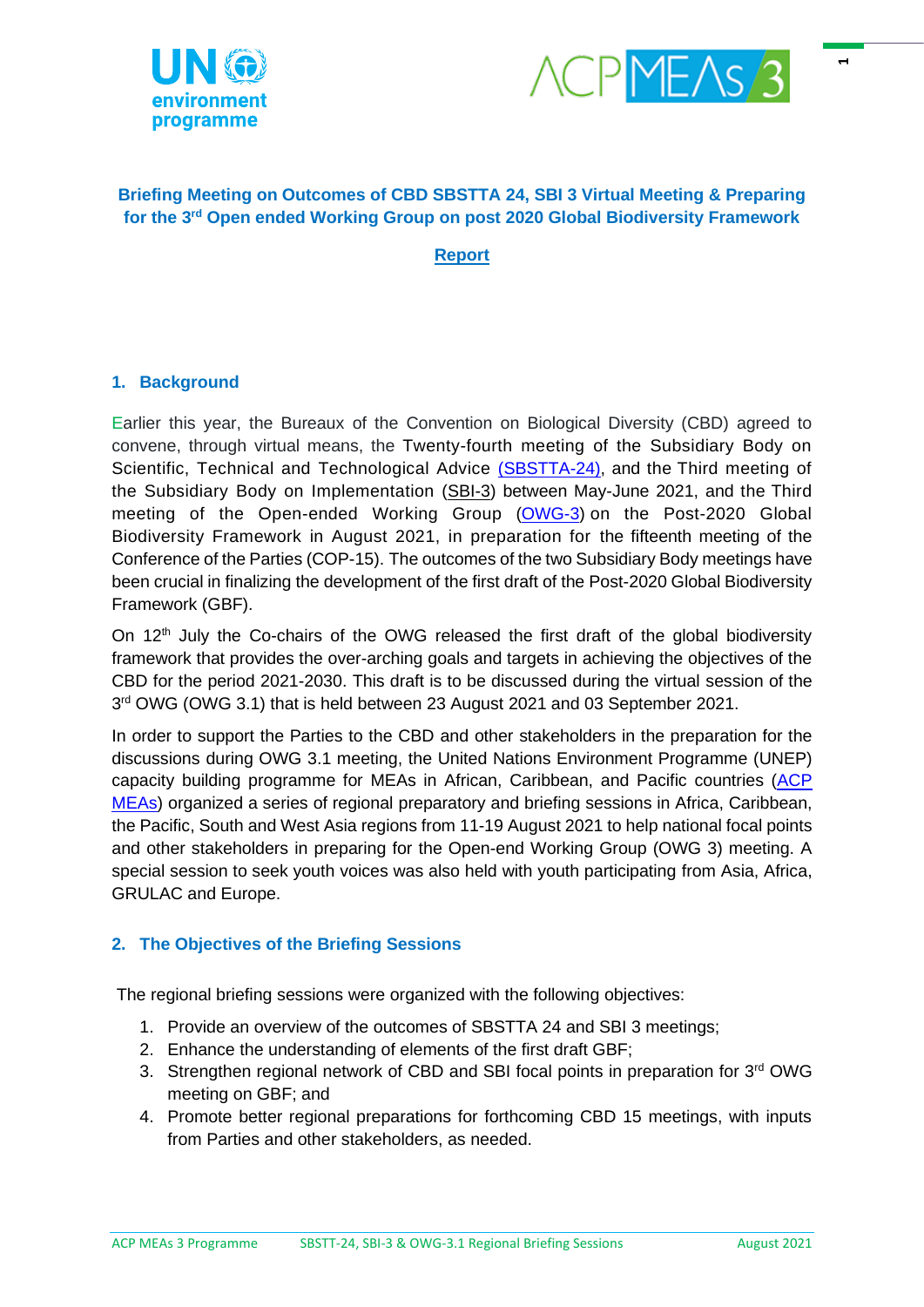



 $\blacksquare$ 

### **Briefing Meeting on Outcomes of CBD SBSTTA 24, SBI 3 Virtual Meeting & Preparing for the 3rd Open ended Working Group on post 2020 Global Biodiversity Framework**

**Report**

### **1. Background**

Earlier this year, the Bureaux of the Convention on Biological Diversity (CBD) agreed to convene, through virtual means, the Twenty-fourth meeting of the Subsidiary Body on Scientific, Technical and Technological Advice [\(SBSTTA-24\),](https://www.cbd.int/conferences/sbstta24-sbi3/sbstta-24/documents) and the Third meeting of the Subsidiary Body on Implementation [\(SBI-3\)](https://www.cbd.int/conferences/sbstta24-sbi3/sbi-03/documents) between May-June 2021, and the Third meeting of the Open-ended Working Group [\(OWG-3\)](https://www.cbd.int/conferences/post2020/wg2020-03/documents) on the Post-2020 Global Biodiversity Framework in August 2021, in preparation for the fifteenth meeting of the Conference of the Parties (COP-15). The outcomes of the two Subsidiary Body meetings have been crucial in finalizing the development of the first draft of the Post-2020 Global Biodiversity Framework (GBF).

On 12<sup>th</sup> July the Co-chairs of the OWG released the first draft of the global biodiversity framework that provides the over-arching goals and targets in achieving the objectives of the CBD for the period 2021-2030. This draft is to be discussed during the virtual session of the 3<sup>rd</sup> OWG (OWG 3.1) that is held between 23 August 2021 and 03 September 2021.

In order to support the Parties to the CBD and other stakeholders in the preparation for the discussions during OWG 3.1 meeting, the United Nations Environment Programme (UNEP) capacity building programme for MEAs in African, Caribbean, and Pacific countries [\(ACP](https://www.acpmeas.com/)  [MEAs\)](https://www.acpmeas.com/) organized a series of regional preparatory and briefing sessions in Africa, Caribbean, the Pacific, South and West Asia regions from 11-19 August 2021 to help national focal points and other stakeholders in preparing for the Open-end Working Group (OWG 3) meeting. A special session to seek youth voices was also held with youth participating from Asia, Africa, GRULAC and Europe.

### **2. The Objectives of the Briefing Sessions**

The regional briefing sessions were organized with the following objectives:

- 1. Provide an overview of the outcomes of SBSTTA 24 and SBI 3 meetings;
- 2. Enhance the understanding of elements of the first draft GBF;
- 3. Strengthen regional network of CBD and SBI focal points in preparation for 3<sup>rd</sup> OWG meeting on GBF; and
- 4. Promote better regional preparations for forthcoming CBD 15 meetings, with inputs from Parties and other stakeholders, as needed.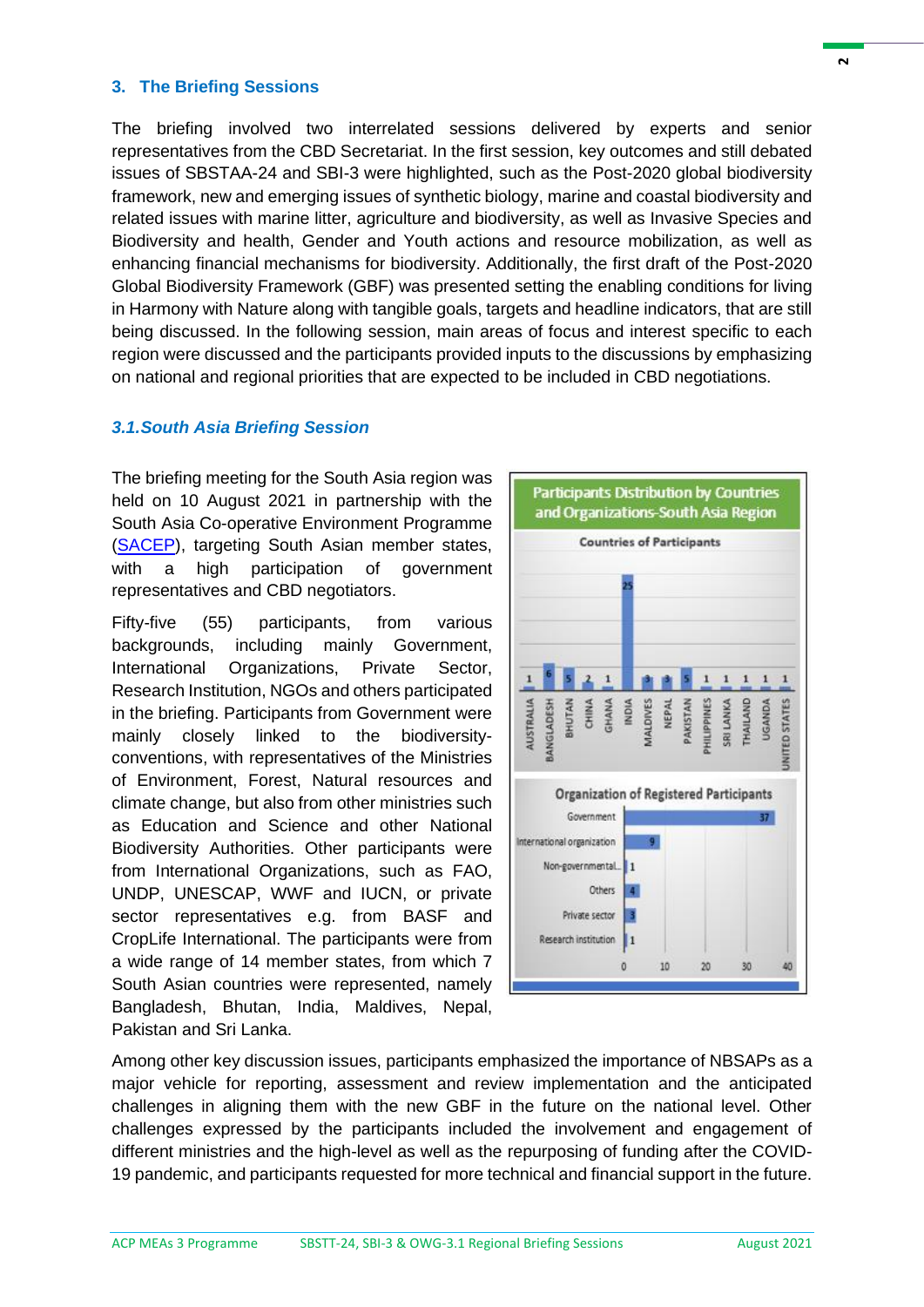#### **3. The Briefing Sessions**

The briefing involved two interrelated sessions delivered by experts and senior representatives from the CBD Secretariat. In the first session, key outcomes and still debated issues of SBSTAA-24 and SBI-3 were highlighted, such as the Post-2020 global biodiversity framework, new and emerging issues of synthetic biology, marine and coastal biodiversity and related issues with marine litter, agriculture and biodiversity, as well as Invasive Species and Biodiversity and health, Gender and Youth actions and resource mobilization, as well as enhancing financial mechanisms for biodiversity. Additionally, the first draft of the Post-2020 Global Biodiversity Framework (GBF) was presented setting the enabling conditions for living in Harmony with Nature along with tangible goals, targets and headline indicators, that are still being discussed. In the following session, main areas of focus and interest specific to each region were discussed and the participants provided inputs to the discussions by emphasizing on national and regional priorities that are expected to be included in CBD negotiations.

#### *3.1.South Asia Briefing Session*

The briefing meeting for the South Asia region was held on 10 August 2021 in partnership with the South Asia Co-operative Environment Programme [\(SACEP\)](http://www.sacep.org/), targeting South Asian member states, with a high participation of government representatives and CBD negotiators.

Fifty-five (55) participants, from various backgrounds, including mainly Government, International Organizations, Private Sector, Research Institution, NGOs and others participated in the briefing. Participants from Government were mainly closely linked to the biodiversityconventions, with representatives of the Ministries of Environment, Forest, Natural resources and climate change, but also from other ministries such as Education and Science and other National Biodiversity Authorities. Other participants were from International Organizations, such as FAO, UNDP, UNESCAP, WWF and IUCN, or private sector representatives e.g. from BASF and CropLife International. The participants were from a wide range of 14 member states, from which 7 South Asian countries were represented, namely Bangladesh, Bhutan, India, Maldives, Nepal, Pakistan and Sri Lanka.



Among other key discussion issues, participants emphasized the importance of NBSAPs as a major vehicle for reporting, assessment and review implementation and the anticipated challenges in aligning them with the new GBF in the future on the national level. Other challenges expressed by the participants included the involvement and engagement of different ministries and the high-level as well as the repurposing of funding after the COVID-19 pandemic, and participants requested for more technical and financial support in the future.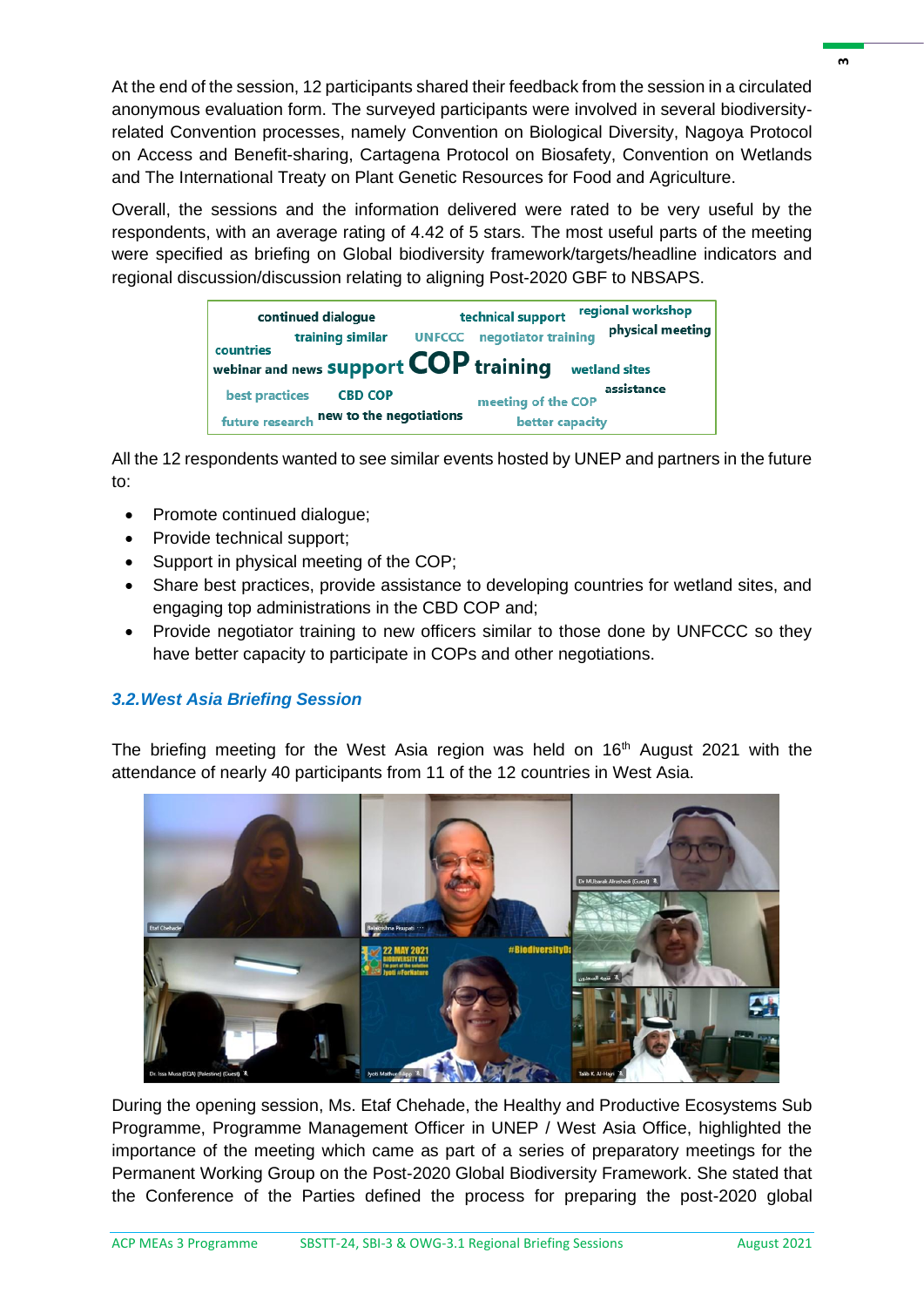At the end of the session, 12 participants shared their feedback from the session in a circulated anonymous evaluation form. The surveyed participants were involved in several biodiversityrelated Convention processes, namely Convention on Biological Diversity, Nagoya Protocol on Access and Benefit-sharing, Cartagena Protocol on Biosafety, Convention on Wetlands and The International Treaty on Plant Genetic Resources for Food and Agriculture.

Overall, the sessions and the information delivered were rated to be very useful by the respondents, with an average rating of 4.42 of 5 stars. The most useful parts of the meeting were specified as briefing on Global biodiversity framework/targets/headline indicators and regional discussion/discussion relating to aligning Post-2020 GBF to NBSAPS.

| continued dialogue<br>training similar                                                  | regional workshop<br>technical support<br>physical meeting<br>negotiator training<br><b>UNFCCC</b> |
|-----------------------------------------------------------------------------------------|----------------------------------------------------------------------------------------------------|
| countries<br>webinar and news <b>Support <math>COP</math> training</b><br>wetland sites |                                                                                                    |
| best practices<br><b>CBD COP</b><br>future research new to the negotiations             | assistance<br>meeting of the COP<br>better capacity                                                |

All the 12 respondents wanted to see similar events hosted by UNEP and partners in the future to:

- Promote continued dialogue;
- Provide technical support:
- Support in physical meeting of the COP;
- Share best practices, provide assistance to developing countries for wetland sites, and engaging top administrations in the CBD COP and;
- Provide negotiator training to new officers similar to those done by UNFCCC so they have better capacity to participate in COPs and other negotiations.

# *3.2.West Asia Briefing Session*

The briefing meeting for the West Asia region was held on 16<sup>th</sup> August 2021 with the attendance of nearly 40 participants from 11 of the 12 countries in West Asia.



During the opening session, Ms. Etaf Chehade, the Healthy and Productive Ecosystems Sub Programme, Programme Management Officer in UNEP / West Asia Office, highlighted the importance of the meeting which came as part of a series of preparatory meetings for the Permanent Working Group on the Post-2020 Global Biodiversity Framework. She stated that the Conference of the Parties defined the process for preparing the post-2020 global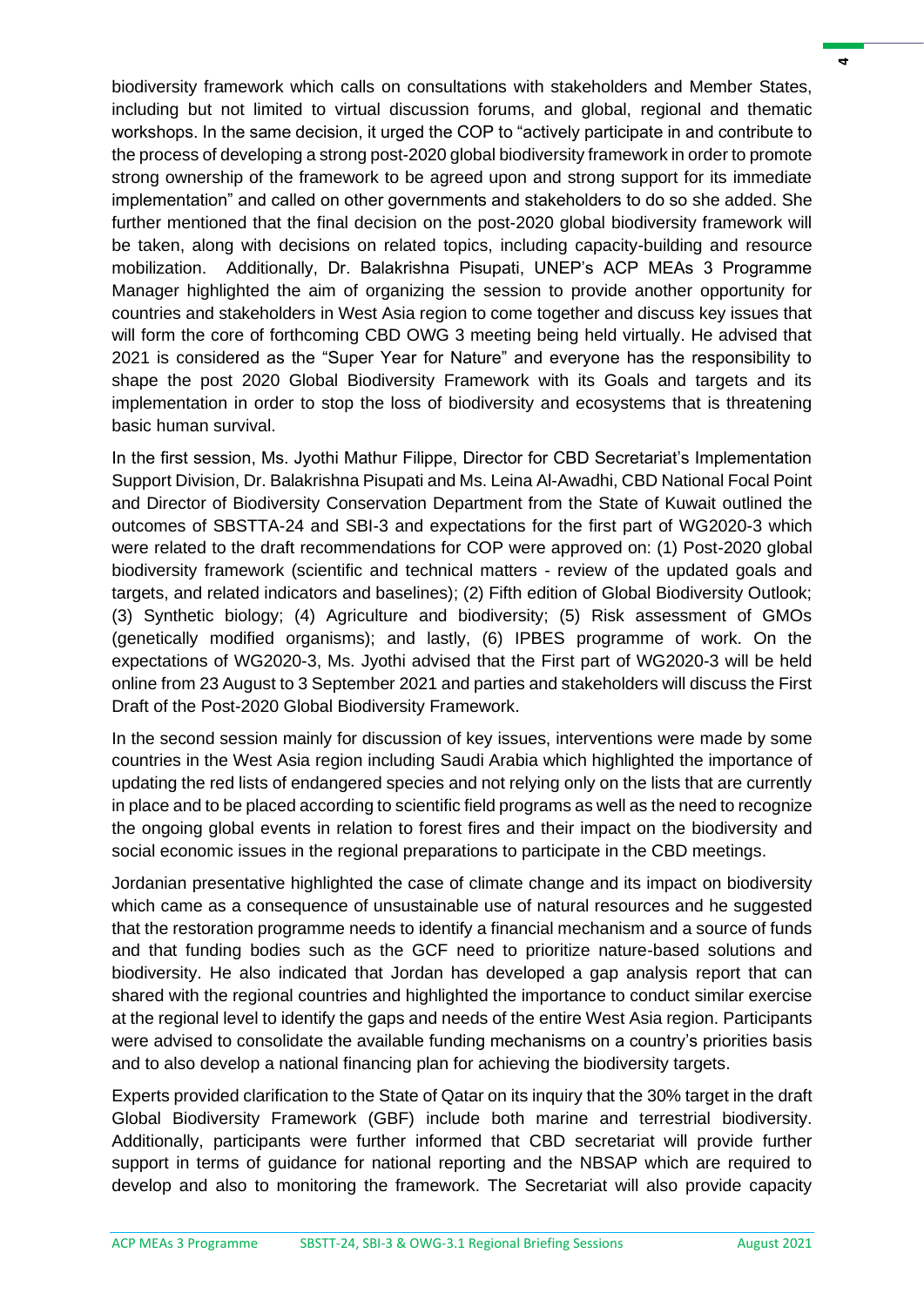biodiversity framework which calls on consultations with stakeholders and Member States, including but not limited to virtual discussion forums, and global, regional and thematic workshops. In the same decision, it urged the COP to "actively participate in and contribute to the process of developing a strong post-2020 global biodiversity framework in order to promote strong ownership of the framework to be agreed upon and strong support for its immediate implementation" and called on other governments and stakeholders to do so she added. She further mentioned that the final decision on the post-2020 global biodiversity framework will be taken, along with decisions on related topics, including capacity-building and resource mobilization. Additionally, Dr. Balakrishna Pisupati, UNEP's ACP MEAs 3 Programme Manager highlighted the aim of organizing the session to provide another opportunity for countries and stakeholders in West Asia region to come together and discuss key issues that will form the core of forthcoming CBD OWG 3 meeting being held virtually. He advised that 2021 is considered as the "Super Year for Nature" and everyone has the responsibility to shape the post 2020 Global Biodiversity Framework with its Goals and targets and its implementation in order to stop the loss of biodiversity and ecosystems that is threatening basic human survival.

In the first session, Ms. Jyothi Mathur Filippe, Director for CBD Secretariat's Implementation Support Division, Dr. Balakrishna Pisupati and Ms. Leina Al-Awadhi, CBD National Focal Point and Director of Biodiversity Conservation Department from the State of Kuwait outlined the outcomes of SBSTTA-24 and SBI-3 and expectations for the first part of WG2020-3 which were related to the draft recommendations for COP were approved on: (1) Post-2020 global biodiversity framework (scientific and technical matters - review of the updated goals and targets, and related indicators and baselines); (2) Fifth edition of Global Biodiversity Outlook; (3) Synthetic biology; (4) Agriculture and biodiversity; (5) Risk assessment of GMOs (genetically modified organisms); and lastly, (6) IPBES programme of work. On the expectations of WG2020-3, Ms. Jyothi advised that the First part of WG2020-3 will be held online from 23 August to 3 September 2021 and parties and stakeholders will discuss the First Draft of the Post-2020 Global Biodiversity Framework.

In the second session mainly for discussion of key issues, interventions were made by some countries in the West Asia region including Saudi Arabia which highlighted the importance of updating the red lists of endangered species and not relying only on the lists that are currently in place and to be placed according to scientific field programs as well as the need to recognize the ongoing global events in relation to forest fires and their impact on the biodiversity and social economic issues in the regional preparations to participate in the CBD meetings.

Jordanian presentative highlighted the case of climate change and its impact on biodiversity which came as a consequence of unsustainable use of natural resources and he suggested that the restoration programme needs to identify a financial mechanism and a source of funds and that funding bodies such as the GCF need to prioritize nature-based solutions and biodiversity. He also indicated that Jordan has developed a gap analysis report that can shared with the regional countries and highlighted the importance to conduct similar exercise at the regional level to identify the gaps and needs of the entire West Asia region. Participants were advised to consolidate the available funding mechanisms on a country's priorities basis and to also develop a national financing plan for achieving the biodiversity targets.

Experts provided clarification to the State of Qatar on its inquiry that the 30% target in the draft Global Biodiversity Framework (GBF) include both marine and terrestrial biodiversity. Additionally, participants were further informed that CBD secretariat will provide further support in terms of guidance for national reporting and the NBSAP which are required to develop and also to monitoring the framework. The Secretariat will also provide capacity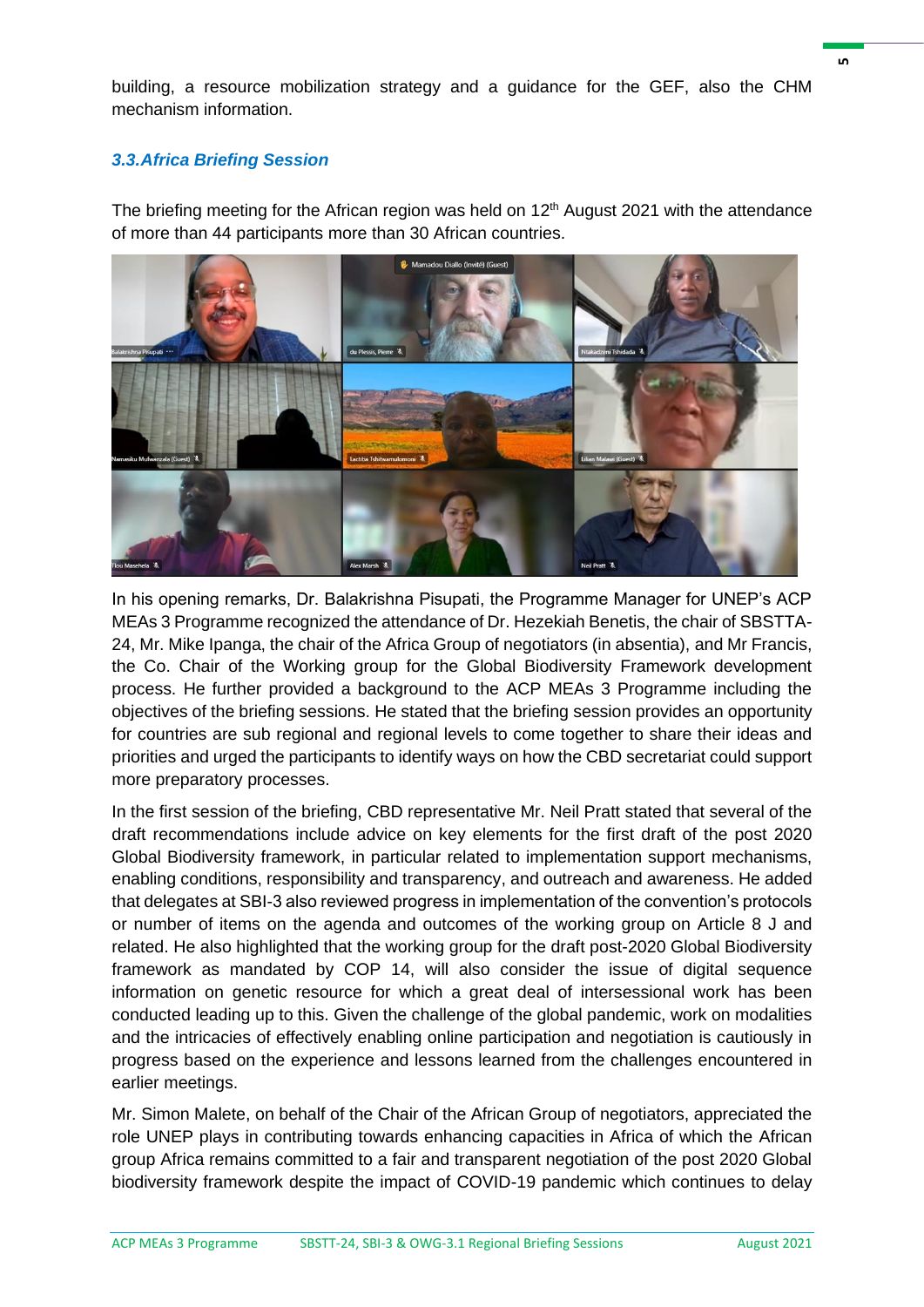building, a resource mobilization strategy and a guidance for the GEF, also the CHM mechanism information.

#### *3.3.Africa Briefing Session*

The briefing meeting for the African region was held on 12<sup>th</sup> August 2021 with the attendance of more than 44 participants more than 30 African countries.



In his opening remarks, Dr. Balakrishna Pisupati, the Programme Manager for UNEP's ACP MEAs 3 Programme recognized the attendance of Dr. Hezekiah Benetis, the chair of SBSTTA-24, Mr. Mike Ipanga, the chair of the Africa Group of negotiators (in absentia), and Mr Francis, the Co. Chair of the Working group for the Global Biodiversity Framework development process. He further provided a background to the ACP MEAs 3 Programme including the objectives of the briefing sessions. He stated that the briefing session provides an opportunity for countries are sub regional and regional levels to come together to share their ideas and priorities and urged the participants to identify ways on how the CBD secretariat could support more preparatory processes.

In the first session of the briefing, CBD representative Mr. Neil Pratt stated that several of the draft recommendations include advice on key elements for the first draft of the post 2020 Global Biodiversity framework, in particular related to implementation support mechanisms, enabling conditions, responsibility and transparency, and outreach and awareness. He added that delegates at SBI-3 also reviewed progress in implementation of the convention's protocols or number of items on the agenda and outcomes of the working group on Article 8 J and related. He also highlighted that the working group for the draft post-2020 Global Biodiversity framework as mandated by COP 14, will also consider the issue of digital sequence information on genetic resource for which a great deal of intersessional work has been conducted leading up to this. Given the challenge of the global pandemic, work on modalities and the intricacies of effectively enabling online participation and negotiation is cautiously in progress based on the experience and lessons learned from the challenges encountered in earlier meetings.

Mr. Simon Malete, on behalf of the Chair of the African Group of negotiators, appreciated the role UNEP plays in contributing towards enhancing capacities in Africa of which the African group Africa remains committed to a fair and transparent negotiation of the post 2020 Global biodiversity framework despite the impact of COVID-19 pandemic which continues to delay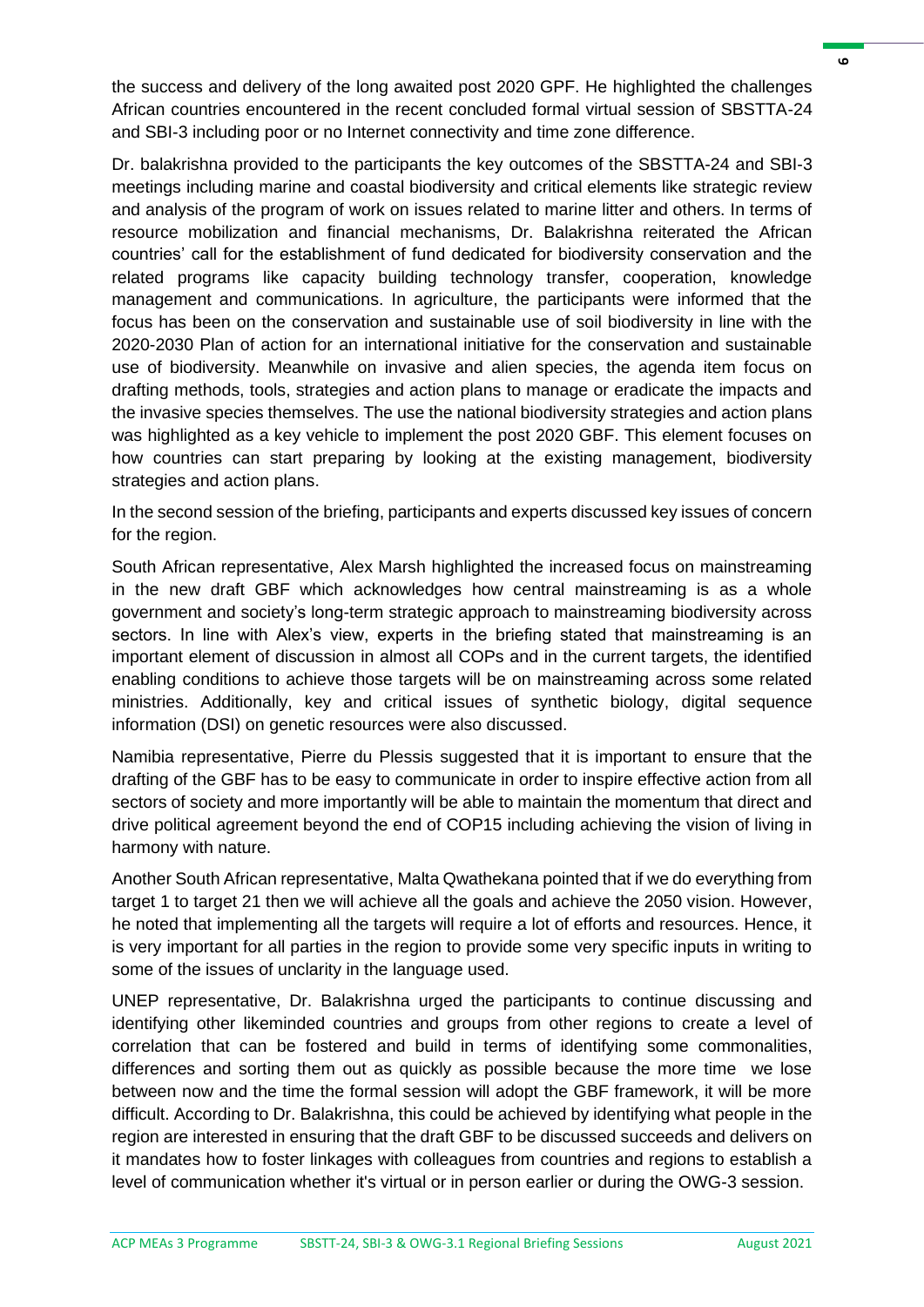the success and delivery of the long awaited post 2020 GPF. He highlighted the challenges African countries encountered in the recent concluded formal virtual session of SBSTTA-24 and SBI-3 including poor or no Internet connectivity and time zone difference.

Dr. balakrishna provided to the participants the key outcomes of the SBSTTA-24 and SBI-3 meetings including marine and coastal biodiversity and critical elements like strategic review and analysis of the program of work on issues related to marine litter and others. In terms of resource mobilization and financial mechanisms, Dr. Balakrishna reiterated the African countries' call for the establishment of fund dedicated for biodiversity conservation and the related programs like capacity building technology transfer, cooperation, knowledge management and communications. In agriculture, the participants were informed that the focus has been on the conservation and sustainable use of soil biodiversity in line with the 2020-2030 Plan of action for an international initiative for the conservation and sustainable use of biodiversity. Meanwhile on invasive and alien species, the agenda item focus on drafting methods, tools, strategies and action plans to manage or eradicate the impacts and the invasive species themselves. The use the national biodiversity strategies and action plans was highlighted as a key vehicle to implement the post 2020 GBF. This element focuses on how countries can start preparing by looking at the existing management, biodiversity strategies and action plans.

In the second session of the briefing, participants and experts discussed key issues of concern for the region.

South African representative, Alex Marsh highlighted the increased focus on mainstreaming in the new draft GBF which acknowledges how central mainstreaming is as a whole government and society's long-term strategic approach to mainstreaming biodiversity across sectors. In line with Alex's view, experts in the briefing stated that mainstreaming is an important element of discussion in almost all COPs and in the current targets, the identified enabling conditions to achieve those targets will be on mainstreaming across some related ministries. Additionally, key and critical issues of synthetic biology, digital sequence information (DSI) on genetic resources were also discussed.

Namibia representative, Pierre du Plessis suggested that it is important to ensure that the drafting of the GBF has to be easy to communicate in order to inspire effective action from all sectors of society and more importantly will be able to maintain the momentum that direct and drive political agreement beyond the end of COP15 including achieving the vision of living in harmony with nature.

Another South African representative, Malta Qwathekana pointed that if we do everything from target 1 to target 21 then we will achieve all the goals and achieve the 2050 vision. However, he noted that implementing all the targets will require a lot of efforts and resources. Hence, it is very important for all parties in the region to provide some very specific inputs in writing to some of the issues of unclarity in the language used.

UNEP representative, Dr. Balakrishna urged the participants to continue discussing and identifying other likeminded countries and groups from other regions to create a level of correlation that can be fostered and build in terms of identifying some commonalities, differences and sorting them out as quickly as possible because the more time we lose between now and the time the formal session will adopt the GBF framework, it will be more difficult. According to Dr. Balakrishna, this could be achieved by identifying what people in the region are interested in ensuring that the draft GBF to be discussed succeeds and delivers on it mandates how to foster linkages with colleagues from countries and regions to establish a level of communication whether it's virtual or in person earlier or during the OWG-3 session.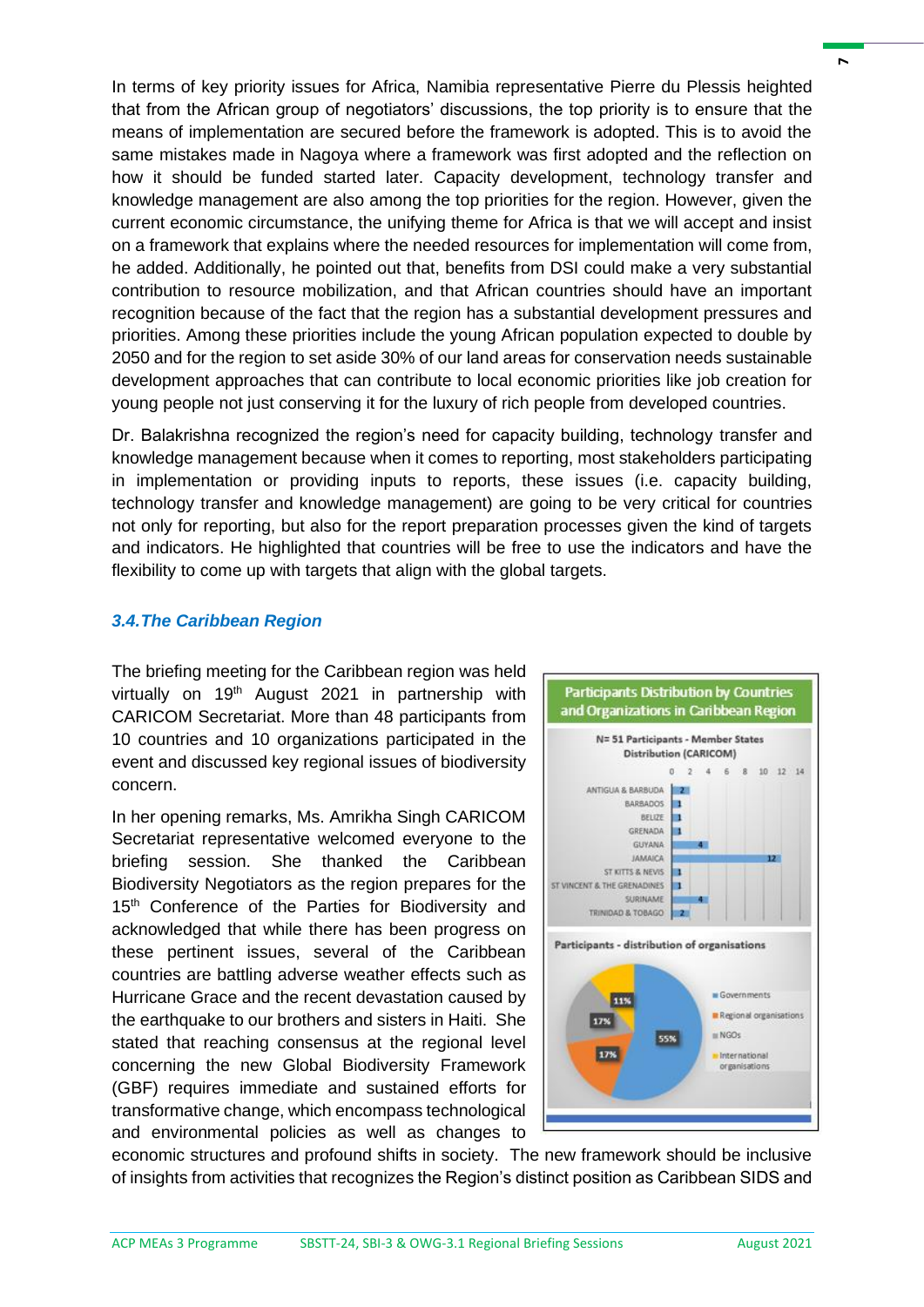In terms of key priority issues for Africa, Namibia representative Pierre du Plessis heighted that from the African group of negotiators' discussions, the top priority is to ensure that the means of implementation are secured before the framework is adopted. This is to avoid the same mistakes made in Nagoya where a framework was first adopted and the reflection on how it should be funded started later. Capacity development, technology transfer and knowledge management are also among the top priorities for the region. However, given the current economic circumstance, the unifying theme for Africa is that we will accept and insist on a framework that explains where the needed resources for implementation will come from, he added. Additionally, he pointed out that, benefits from DSI could make a very substantial contribution to resource mobilization, and that African countries should have an important recognition because of the fact that the region has a substantial development pressures and priorities. Among these priorities include the young African population expected to double by 2050 and for the region to set aside 30% of our land areas for conservation needs sustainable development approaches that can contribute to local economic priorities like job creation for young people not just conserving it for the luxury of rich people from developed countries.

Dr. Balakrishna recognized the region's need for capacity building, technology transfer and knowledge management because when it comes to reporting, most stakeholders participating in implementation or providing inputs to reports, these issues (i.e. capacity building, technology transfer and knowledge management) are going to be very critical for countries not only for reporting, but also for the report preparation processes given the kind of targets and indicators. He highlighted that countries will be free to use the indicators and have the flexibility to come up with targets that align with the global targets.

### *3.4.The Caribbean Region*

The briefing meeting for the Caribbean region was held virtually on 19<sup>th</sup> August 2021 in partnership with CARICOM Secretariat. More than 48 participants from 10 countries and 10 organizations participated in the event and discussed key regional issues of biodiversity concern.

In her opening remarks, Ms. Amrikha Singh CARICOM Secretariat representative welcomed everyone to the briefing session. She thanked the Caribbean Biodiversity Negotiators as the region prepares for the 15<sup>th</sup> Conference of the Parties for Biodiversity and acknowledged that while there has been progress on these pertinent issues, several of the Caribbean countries are battling adverse weather effects such as Hurricane Grace and the recent devastation caused by the earthquake to our brothers and sisters in Haiti. She stated that reaching consensus at the regional level concerning the new Global Biodiversity Framework (GBF) requires immediate and sustained efforts for transformative change, which encompass technological and environmental policies as well as changes to



economic structures and profound shifts in society. The new framework should be inclusive of insights from activities that recognizes the Region's distinct position as Caribbean SIDS and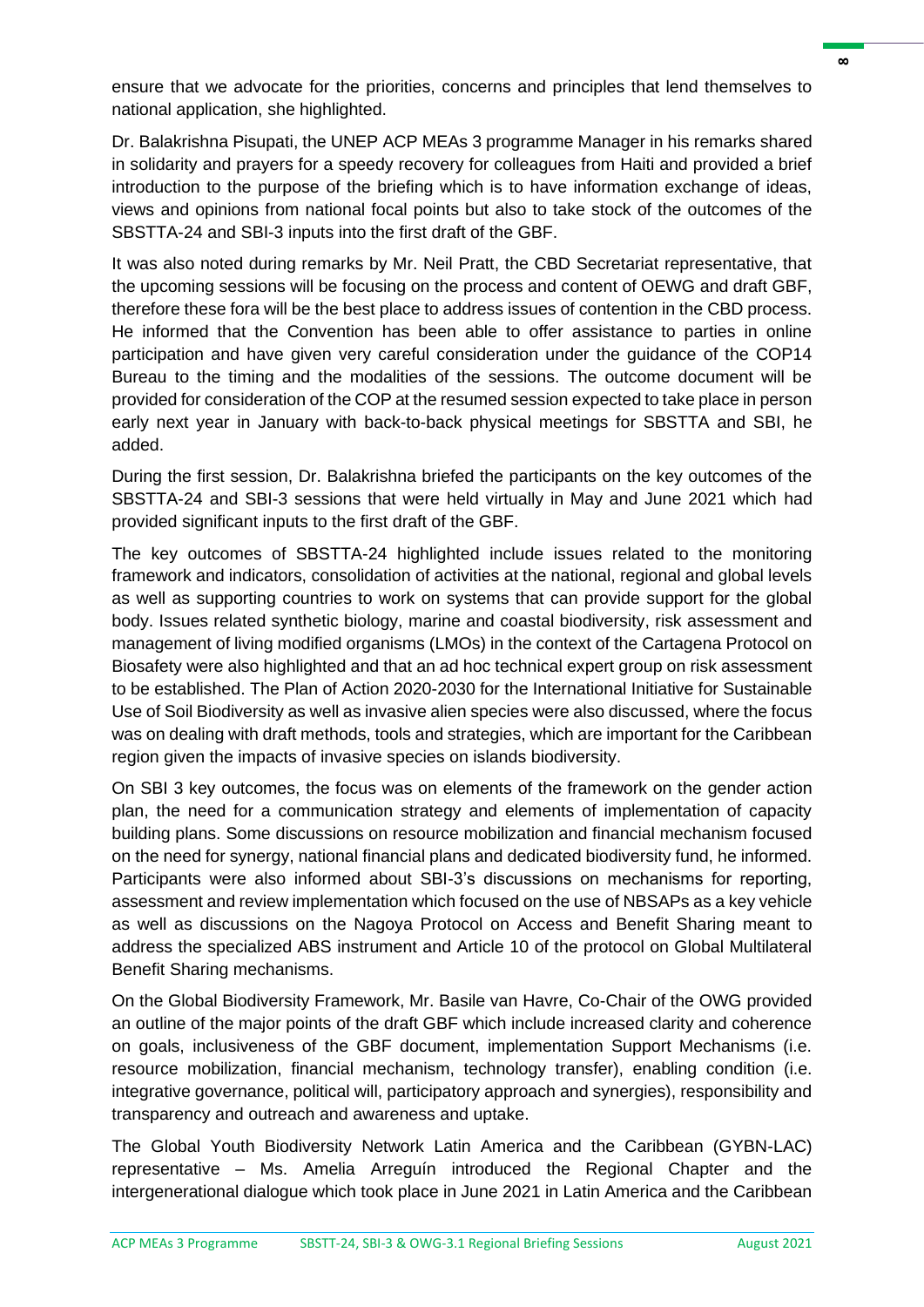ensure that we advocate for the priorities, concerns and principles that lend themselves to national application, she highlighted.

Dr. Balakrishna Pisupati, the UNEP ACP MEAs 3 programme Manager in his remarks shared in solidarity and prayers for a speedy recovery for colleagues from Haiti and provided a brief introduction to the purpose of the briefing which is to have information exchange of ideas, views and opinions from national focal points but also to take stock of the outcomes of the SBSTTA-24 and SBI-3 inputs into the first draft of the GBF.

It was also noted during remarks by Mr. Neil Pratt, the CBD Secretariat representative, that the upcoming sessions will be focusing on the process and content of OEWG and draft GBF, therefore these fora will be the best place to address issues of contention in the CBD process. He informed that the Convention has been able to offer assistance to parties in online participation and have given very careful consideration under the guidance of the COP14 Bureau to the timing and the modalities of the sessions. The outcome document will be provided for consideration of the COP at the resumed session expected to take place in person early next year in January with back-to-back physical meetings for SBSTTA and SBI, he added.

During the first session, Dr. Balakrishna briefed the participants on the key outcomes of the SBSTTA-24 and SBI-3 sessions that were held virtually in May and June 2021 which had provided significant inputs to the first draft of the GBF.

The key outcomes of SBSTTA-24 highlighted include issues related to the monitoring framework and indicators, consolidation of activities at the national, regional and global levels as well as supporting countries to work on systems that can provide support for the global body. Issues related synthetic biology, marine and coastal biodiversity, risk assessment and management of living modified organisms (LMOs) in the context of the Cartagena Protocol on Biosafety were also highlighted and that an ad hoc technical expert group on risk assessment to be established. The Plan of Action 2020-2030 for the International Initiative for Sustainable Use of Soil Biodiversity as well as invasive alien species were also discussed, where the focus was on dealing with draft methods, tools and strategies, which are important for the Caribbean region given the impacts of invasive species on islands biodiversity.

On SBI 3 key outcomes, the focus was on elements of the framework on the gender action plan, the need for a communication strategy and elements of implementation of capacity building plans. Some discussions on resource mobilization and financial mechanism focused on the need for synergy, national financial plans and dedicated biodiversity fund, he informed. Participants were also informed about SBI-3's discussions on mechanisms for reporting, assessment and review implementation which focused on the use of NBSAPs as a key vehicle as well as discussions on the Nagoya Protocol on Access and Benefit Sharing meant to address the specialized ABS instrument and Article 10 of the protocol on Global Multilateral Benefit Sharing mechanisms.

On the Global Biodiversity Framework, Mr. Basile van Havre, Co-Chair of the OWG provided an outline of the major points of the draft GBF which include increased clarity and coherence on goals, inclusiveness of the GBF document, implementation Support Mechanisms (i.e. resource mobilization, financial mechanism, technology transfer), enabling condition (i.e. integrative governance, political will, participatory approach and synergies), responsibility and transparency and outreach and awareness and uptake.

The Global Youth Biodiversity Network Latin America and the Caribbean (GYBN-LAC) representative – Ms. Amelia Arreguín introduced the Regional Chapter and the intergenerational dialogue which took place in June 2021 in Latin America and the Caribbean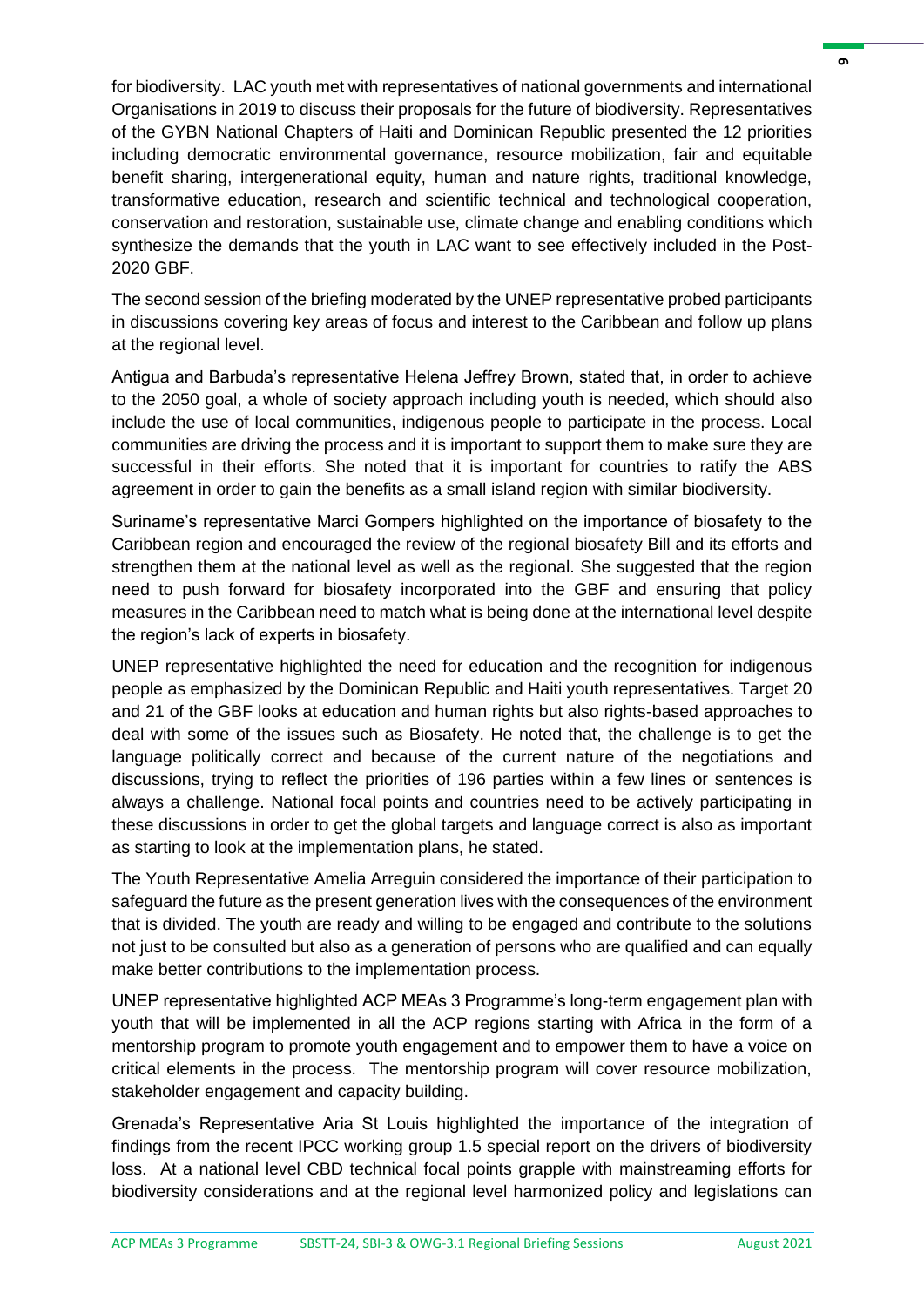for biodiversity. LAC youth met with representatives of national governments and international Organisations in 2019 to discuss their proposals for the future of biodiversity. Representatives of the GYBN National Chapters of Haiti and Dominican Republic presented the 12 priorities including democratic environmental governance, resource mobilization, fair and equitable benefit sharing, intergenerational equity, human and nature rights, traditional knowledge, transformative education, research and scientific technical and technological cooperation, conservation and restoration, sustainable use, climate change and enabling conditions which synthesize the demands that the youth in LAC want to see effectively included in the Post-2020 GBF.

The second session of the briefing moderated by the UNEP representative probed participants in discussions covering key areas of focus and interest to the Caribbean and follow up plans at the regional level.

Antigua and Barbuda's representative Helena Jeffrey Brown, stated that, in order to achieve to the 2050 goal, a whole of society approach including youth is needed, which should also include the use of local communities, indigenous people to participate in the process. Local communities are driving the process and it is important to support them to make sure they are successful in their efforts. She noted that it is important for countries to ratify the ABS agreement in order to gain the benefits as a small island region with similar biodiversity.

Suriname's representative Marci Gompers highlighted on the importance of biosafety to the Caribbean region and encouraged the review of the regional biosafety Bill and its efforts and strengthen them at the national level as well as the regional. She suggested that the region need to push forward for biosafety incorporated into the GBF and ensuring that policy measures in the Caribbean need to match what is being done at the international level despite the region's lack of experts in biosafety.

UNEP representative highlighted the need for education and the recognition for indigenous people as emphasized by the Dominican Republic and Haiti youth representatives. Target 20 and 21 of the GBF looks at education and human rights but also rights-based approaches to deal with some of the issues such as Biosafety. He noted that, the challenge is to get the language politically correct and because of the current nature of the negotiations and discussions, trying to reflect the priorities of 196 parties within a few lines or sentences is always a challenge. National focal points and countries need to be actively participating in these discussions in order to get the global targets and language correct is also as important as starting to look at the implementation plans, he stated.

The Youth Representative Amelia Arreguin considered the importance of their participation to safeguard the future as the present generation lives with the consequences of the environment that is divided. The youth are ready and willing to be engaged and contribute to the solutions not just to be consulted but also as a generation of persons who are qualified and can equally make better contributions to the implementation process.

UNEP representative highlighted ACP MEAs 3 Programme's long-term engagement plan with youth that will be implemented in all the ACP regions starting with Africa in the form of a mentorship program to promote youth engagement and to empower them to have a voice on critical elements in the process. The mentorship program will cover resource mobilization, stakeholder engagement and capacity building.

Grenada's Representative Aria St Louis highlighted the importance of the integration of findings from the recent IPCC working group 1.5 special report on the drivers of biodiversity loss. At a national level CBD technical focal points grapple with mainstreaming efforts for biodiversity considerations and at the regional level harmonized policy and legislations can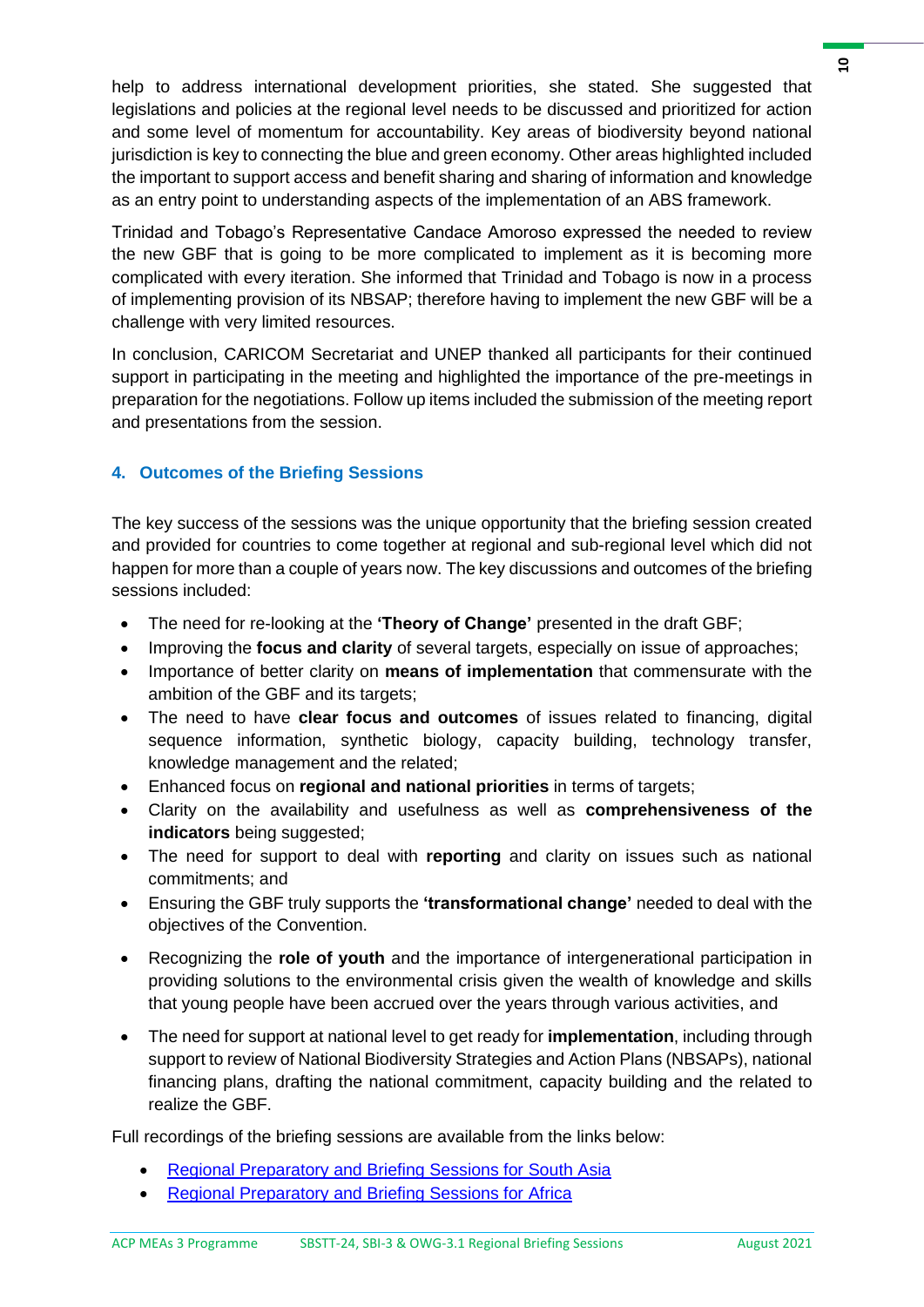help to address international development priorities, she stated. She suggested that legislations and policies at the regional level needs to be discussed and prioritized for action and some level of momentum for accountability. Key areas of biodiversity beyond national jurisdiction is key to connecting the blue and green economy. Other areas highlighted included the important to support access and benefit sharing and sharing of information and knowledge as an entry point to understanding aspects of the implementation of an ABS framework.

Trinidad and Tobago's Representative Candace Amoroso expressed the needed to review the new GBF that is going to be more complicated to implement as it is becoming more complicated with every iteration. She informed that Trinidad and Tobago is now in a process of implementing provision of its NBSAP; therefore having to implement the new GBF will be a challenge with very limited resources.

In conclusion, CARICOM Secretariat and UNEP thanked all participants for their continued support in participating in the meeting and highlighted the importance of the pre-meetings in preparation for the negotiations. Follow up items included the submission of the meeting report and presentations from the session.

## **4. Outcomes of the Briefing Sessions**

The key success of the sessions was the unique opportunity that the briefing session created and provided for countries to come together at regional and sub-regional level which did not happen for more than a couple of years now. The key discussions and outcomes of the briefing sessions included:

- The need for re-looking at the **'Theory of Change'** presented in the draft GBF;
- Improving the **focus and clarity** of several targets, especially on issue of approaches;
- Importance of better clarity on **means of implementation** that commensurate with the ambition of the GBF and its targets;
- The need to have **clear focus and outcomes** of issues related to financing, digital sequence information, synthetic biology, capacity building, technology transfer, knowledge management and the related;
- Enhanced focus on **regional and national priorities** in terms of targets;
- Clarity on the availability and usefulness as well as **comprehensiveness of the indicators** being suggested;
- The need for support to deal with **reporting** and clarity on issues such as national commitments; and
- Ensuring the GBF truly supports the **'transformational change'** needed to deal with the objectives of the Convention.
- Recognizing the **role of youth** and the importance of intergenerational participation in providing solutions to the environmental crisis given the wealth of knowledge and skills that young people have been accrued over the years through various activities, and
- The need for support at national level to get ready for **implementation**, including through support to review of National Biodiversity Strategies and Action Plans (NBSAPs), national financing plans, drafting the national commitment, capacity building and the related to realize the GBF.

Full recordings of the briefing sessions are available from the links below:

- [Regional Preparatory and Briefing Sessions for South Asia](https://youtu.be/bQzYIYpa4fs)
- [Regional Preparatory and Briefing Sessions for Africa](https://youtu.be/HHcZArr6li4)